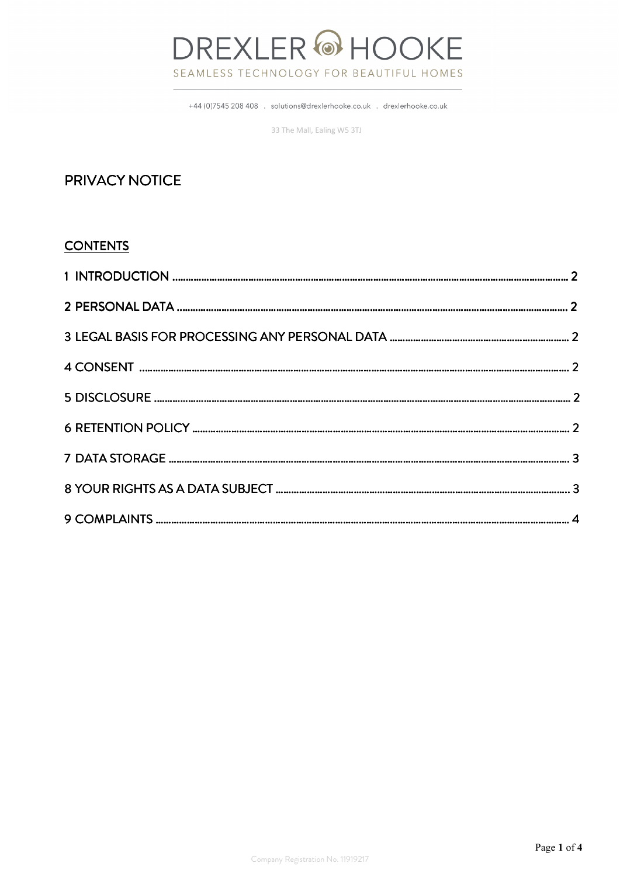# **DREXLER @HOOKE** SEAMLESS TECHNOLOGY FOR BEAUTIFUL HOMES

+44 (0)7545 208 408 . solutions@drexlerhooke.co.uk . drexlerhooke.co.uk

33 The Mall, Ealing W5 3TJ

# PRIVACY NOTICE

#### **CONTENTS**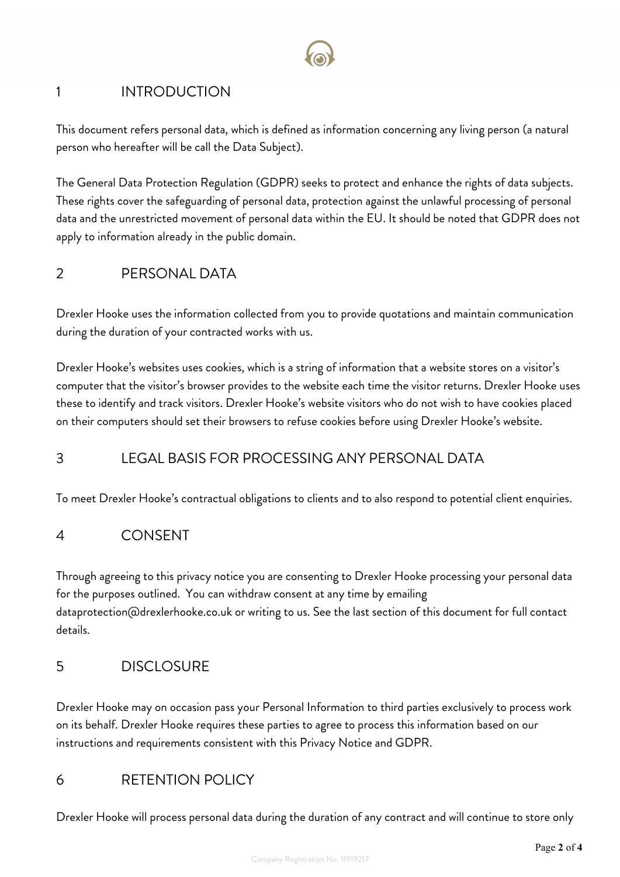# 1 INTRODUCTION

This document refers personal data, which is defined as information concerning any living person (a natural person who hereafter will be call the Data Subject).

The General Data Protection Regulation (GDPR) seeks to protect and enhance the rights of data subjects. These rights cover the safeguarding of personal data, protection against the unlawful processing of personal data and the unrestricted movement of personal data within the EU. It should be noted that GDPR does not apply to information already in the public domain.

### 2 PERSONAL DATA

Drexler Hooke uses the information collected from you to provide quotations and maintain communication during the duration of your contracted works with us.

Drexler Hooke's websites uses cookies, which is a string of information that a website stores on a visitor's computer that the visitor's browser provides to the website each time the visitor returns. Drexler Hooke uses these to identify and track visitors. Drexler Hooke's website visitors who do not wish to have cookies placed on their computers should set their browsers to refuse cookies before using Drexler Hooke's website.

# 3 LEGAL BASIS FOR PROCESSING ANY PERSONAL DATA

To meet Drexler Hooke's contractual obligations to clients and to also respond to potential client enquiries.

#### 4 CONSENT

Through agreeing to this privacy notice you are consenting to Drexler Hooke processing your personal data for the purposes outlined. You can withdraw consent at any time by emailing dataprotection@drexlerhooke.co.uk or writing to us. See the last section of this document for full contact details.

#### 5 DISCLOSURE

Drexler Hooke may on occasion pass your Personal Information to third parties exclusively to process work on its behalf. Drexler Hooke requires these parties to agree to process this information based on our instructions and requirements consistent with this Privacy Notice and GDPR.

# 6 RETENTION POLICY

Drexler Hooke will process personal data during the duration of any contract and will continue to store only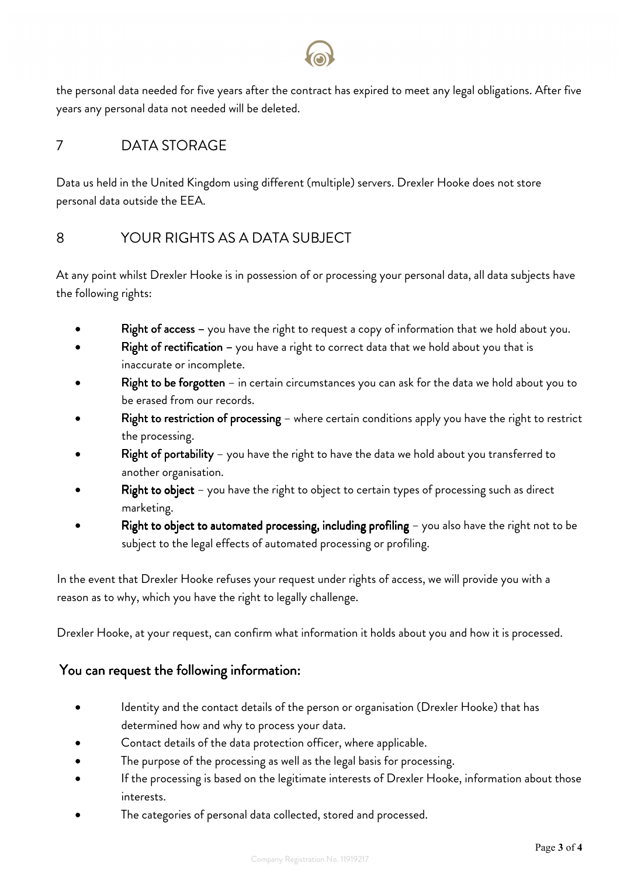the personal data needed for five years after the contract has expired to meet any legal obligations. After five years any personal data not needed will be deleted.

# 7 DATA STORAGE

Data us held in the United Kingdom using different (multiple) servers. Drexler Hooke does not store personal data outside the EEA.

# 8 YOUR RIGHTS AS A DATA SUBJECT

At any point whilst Drexler Hooke is in possession of or processing your personal data, all data subjects have the following rights:

- Right of access you have the right to request a copy of information that we hold about you.
- Right of rectification you have a right to correct data that we hold about you that is inaccurate or incomplete.
- Right to be forgotten in certain circumstances you can ask for the data we hold about you to be erased from our records.
- Right to restriction of processing where certain conditions apply you have the right to restrict the processing.
- Right of portability you have the right to have the data we hold about you transferred to another organisation.
- Right to object you have the right to object to certain types of processing such as direct marketing.
- Right to object to automated processing, including profiling  $-$  you also have the right not to be subject to the legal effects of automated processing or profiling.

 In the event that Drexler Hooke refuses your request under rights of access, we will provide you with a reason as to why, which you have the right to legally challenge.

Drexler Hooke, at your request, can confirm what information it holds about you and how it is processed.

#### You can request the following information:

- Identity and the contact details of the person or organisation (Drexler Hooke) that has determined how and why to process your data.
- Contact details of the data protection officer, where applicable.
- The purpose of the processing as well as the legal basis for processing.
- If the processing is based on the legitimate interests of Drexler Hooke, information about those interests.
- The categories of personal data collected, stored and processed.